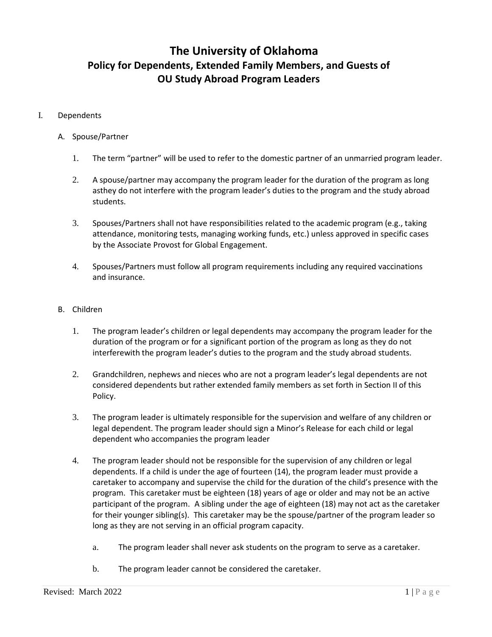# **The University of Oklahoma Policy for Dependents, Extended Family Members, and Guests of OU Study Abroad Program Leaders**

## I. Dependents

#### A. Spouse/Partner

- 1. The term "partner" will be used to refer to the domestic partner of an unmarried program leader.
- 2. A spouse/partner may accompany the program leader for the duration of the program as long asthey do not interfere with the program leader's duties to the program and the study abroad students.
- 3. Spouses/Partners shall not have responsibilities related to the academic program (e.g., taking attendance, monitoring tests, managing working funds, etc.) unless approved in specific cases by the Associate Provost for Global Engagement.
- 4. Spouses/Partners must follow all program requirements including any required vaccinations and insurance.

#### B. Children

- 1. The program leader's children or legal dependents may accompany the program leader for the duration of the program or for a significant portion of the program as long as they do not interferewith the program leader's duties to the program and the study abroad students.
- 2. Grandchildren, nephews and nieces who are not a program leader's legal dependents are not considered dependents but rather extended family members as set forth in Section II of this Policy.
- 3. The program leader is ultimately responsible for the supervision and welfare of any children or legal dependent. The program leader should sign a Minor's Release for each child or legal dependent who accompanies the program leader
- 4. The program leader should not be responsible for the supervision of any children or legal dependents. If a child is under the age of fourteen (14), the program leader must provide a caretaker to accompany and supervise the child for the duration of the child's presence with the program. This caretaker must be eighteen (18) years of age or older and may not be an active participant of the program. A sibling under the age of eighteen (18) may not act as the caretaker for their younger sibling(s). This caretaker may be the spouse/partner of the program leader so long as they are not serving in an official program capacity.
	- a. The program leader shall never ask students on the program to serve as a caretaker.
	- b. The program leader cannot be considered the caretaker.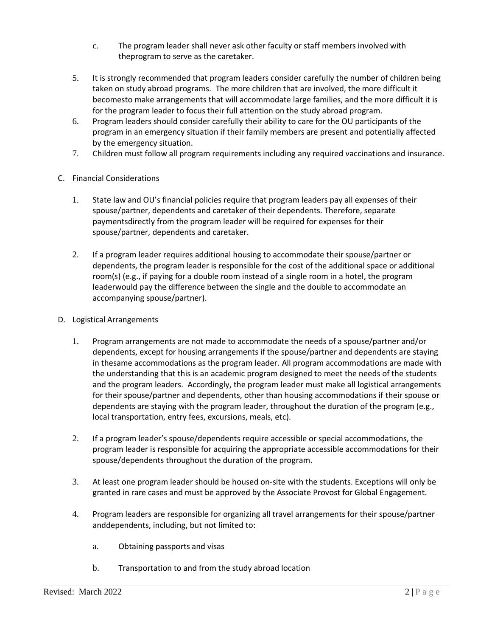- c. The program leader shall never ask other faculty or staff members involved with theprogram to serve as the caretaker.
- 5. It is strongly recommended that program leaders consider carefully the number of children being taken on study abroad programs. The more children that are involved, the more difficult it becomesto make arrangements that will accommodate large families, and the more difficult it is for the program leader to focus their full attention on the study abroad program.
- 6. Program leaders should consider carefully their ability to care for the OU participants of the program in an emergency situation if their family members are present and potentially affected by the emergency situation.
- 7. Children must follow all program requirements including any required vaccinations and insurance.
- C. Financial Considerations
	- 1. State law and OU's financial policies require that program leaders pay all expenses of their spouse/partner, dependents and caretaker of their dependents. Therefore, separate paymentsdirectly from the program leader will be required for expenses for their spouse/partner, dependents and caretaker.
	- 2. If a program leader requires additional housing to accommodate their spouse/partner or dependents, the program leader is responsible for the cost of the additional space or additional room(s) (e.g., if paying for a double room instead of a single room in a hotel, the program leaderwould pay the difference between the single and the double to accommodate an accompanying spouse/partner).
- D. Logistical Arrangements
	- 1. Program arrangements are not made to accommodate the needs of a spouse/partner and/or dependents, except for housing arrangements if the spouse/partner and dependents are staying in thesame accommodations as the program leader. All program accommodations are made with the understanding that this is an academic program designed to meet the needs of the students and the program leaders. Accordingly, the program leader must make all logistical arrangements for their spouse/partner and dependents, other than housing accommodations if their spouse or dependents are staying with the program leader, throughout the duration of the program (e.g., local transportation, entry fees, excursions, meals, etc).
	- 2. If a program leader's spouse/dependents require accessible or special accommodations, the program leader is responsible for acquiring the appropriate accessible accommodations for their spouse/dependents throughout the duration of the program.
	- 3. At least one program leader should be housed on-site with the students. Exceptions will only be granted in rare cases and must be approved by the Associate Provost for Global Engagement.
	- 4. Program leaders are responsible for organizing all travel arrangements for their spouse/partner anddependents, including, but not limited to:
		- a. Obtaining passports and visas
		- b. Transportation to and from the study abroad location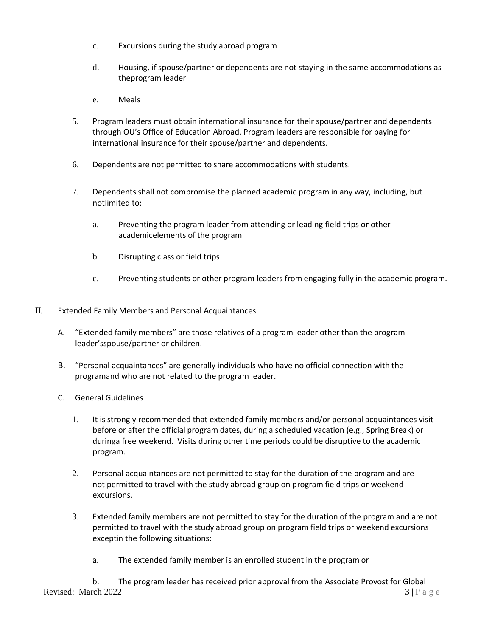- c. Excursions during the study abroad program
- d. Housing, if spouse/partner or dependents are not staying in the same accommodations as theprogram leader
- e. Meals
- 5. Program leaders must obtain international insurance for their spouse/partner and dependents through OU's Office of Education Abroad. Program leaders are responsible for paying for international insurance for their spouse/partner and dependents.
- 6. Dependents are not permitted to share accommodations with students.
- 7. Dependents shall not compromise the planned academic program in any way, including, but notlimited to:
	- a. Preventing the program leader from attending or leading field trips or other academicelements of the program
	- b. Disrupting class or field trips
	- c. Preventing students or other program leaders from engaging fully in the academic program.
- II. Extended Family Members and Personal Acquaintances
	- A. "Extended family members" are those relatives of a program leader other than the program leader'sspouse/partner or children.
	- B. "Personal acquaintances" are generally individuals who have no official connection with the programand who are not related to the program leader.
	- C. General Guidelines
		- 1. It is strongly recommended that extended family members and/or personal acquaintances visit before or after the official program dates, during a scheduled vacation (e.g., Spring Break) or duringa free weekend. Visits during other time periods could be disruptive to the academic program.
		- 2. Personal acquaintances are not permitted to stay for the duration of the program and are not permitted to travel with the study abroad group on program field trips or weekend excursions.
		- 3. Extended family members are not permitted to stay for the duration of the program and are not permitted to travel with the study abroad group on program field trips or weekend excursions exceptin the following situations:
			- a. The extended family member is an enrolled student in the program or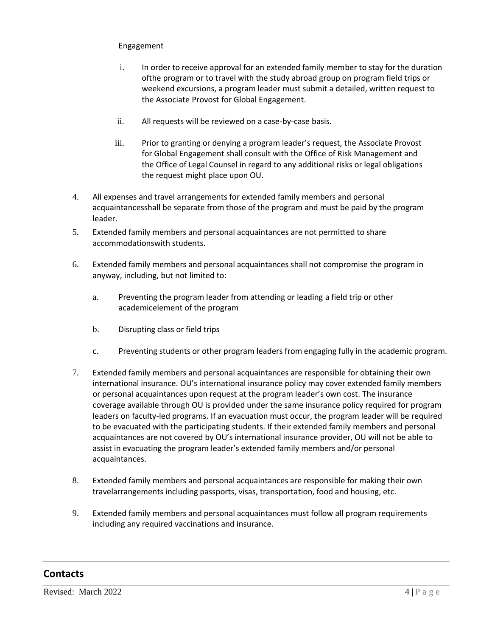## Engagement

- i. In order to receive approval for an extended family member to stay for the duration ofthe program or to travel with the study abroad group on program field trips or weekend excursions, a program leader must submit a detailed, written request to the Associate Provost for Global Engagement.
- ii. All requests will be reviewed on a case-by-case basis.
- iii. Prior to granting or denying a program leader's request, the Associate Provost for Global Engagement shall consult with the Office of Risk Management and the Office of Legal Counsel in regard to any additional risks or legal obligations the request might place upon OU.
- 4. All expenses and travel arrangements for extended family members and personal acquaintancesshall be separate from those of the program and must be paid by the program leader.
- 5. Extended family members and personal acquaintances are not permitted to share accommodationswith students.
- 6. Extended family members and personal acquaintances shall not compromise the program in anyway, including, but not limited to:
	- a. Preventing the program leader from attending or leading a field trip or other academicelement of the program
	- b. Disrupting class or field trips
	- c. Preventing students or other program leaders from engaging fully in the academic program.
- 7. Extended family members and personal acquaintances are responsible for obtaining their own international insurance. OU's international insurance policy may cover extended family members or personal acquaintances upon request at the program leader's own cost. The insurance coverage available through OU is provided under the same insurance policy required for program leaders on faculty-led programs. If an evacuation must occur, the program leader will be required to be evacuated with the participating students. If their extended family members and personal acquaintances are not covered by OU's international insurance provider, OU will not be able to assist in evacuating the program leader's extended family members and/or personal acquaintances.
- 8. Extended family members and personal acquaintances are responsible for making their own travelarrangements including passports, visas, transportation, food and housing, etc.
- 9. Extended family members and personal acquaintances must follow all program requirements including any required vaccinations and insurance.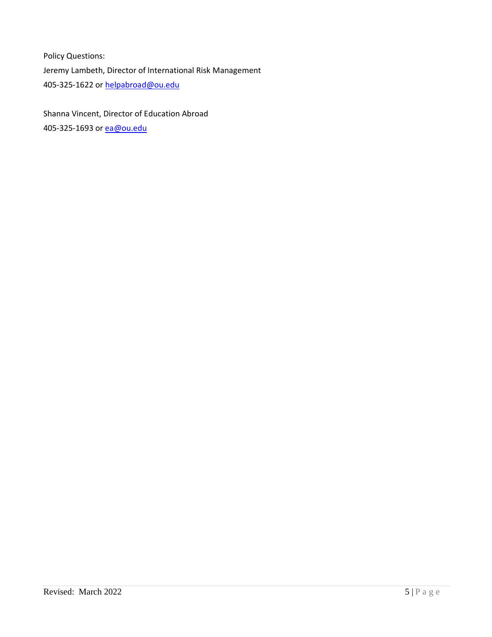Policy Questions: Jeremy Lambeth, Director of International Risk Management 405-325-1622 or [helpabroad@ou.edu](mailto:helpabroad@ou.edu)

Shanna Vincent, Director of Education Abroad 405-325-1693 or [ea@ou.edu](mailto:ea@ou.edu)